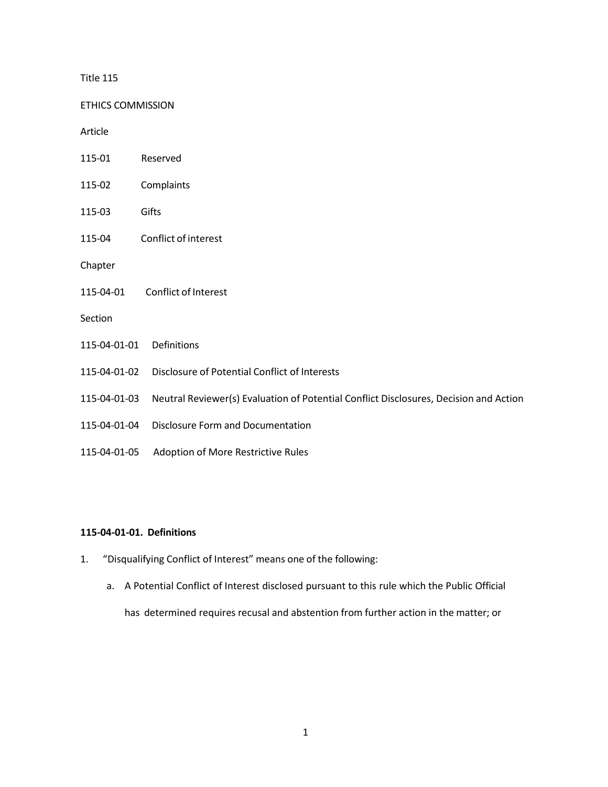### Title 115

ETHICS COMMISSION

Article

- 115-01 Reserved
- 115-02 Complaints
- 115-03 Gifts
- 115-04 Conflict of interest

Chapter

115-04-01 Conflict of Interest

Section

- 115-04-01-01 Definitions
- 115-04-01-02 Disclosure of Potential Conflict of Interests
- 115-04-01-03 Neutral Reviewer(s) Evaluation of Potential Conflict Disclosures, Decision and Action
- 115-04-01-04 Disclosure Form and Documentation
- 115-04-01-05 Adoption of More Restrictive Rules

# **115-04-01-01. Definitions**

- 1. "Disqualifying Conflict of Interest" means one of the following:
	- a. A Potential Conflict of Interest disclosed pursuant to this rule which the Public Official

has determined requires recusal and abstention from further action in the matter; or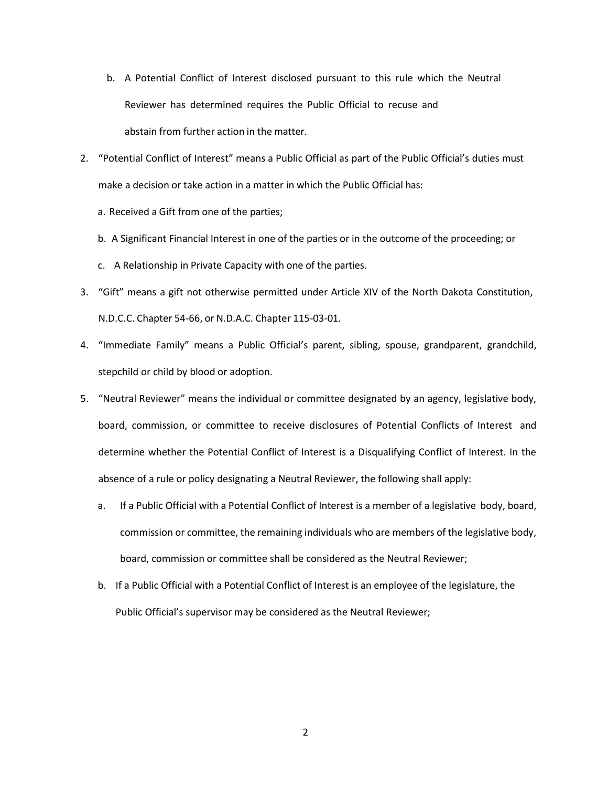- b. A Potential Conflict of Interest disclosed pursuant to this rule which the Neutral Reviewer has determined requires the Public Official to recuse and abstain from further action in the matter.
- 2. "Potential Conflict of Interest" means a Public Official as part of the Public Official's duties must make a decision or take action in a matter in which the Public Official has:
	- a. Received a Gift from one of the parties;
	- b. A Significant Financial Interest in one of the parties or in the outcome of the proceeding; or
	- c. A Relationship in Private Capacity with one of the parties.
- 3. "Gift" means a gift not otherwise permitted under Article XIV of the North Dakota Constitution, N.D.C.C. Chapter 54-66, or N.D.A.C. Chapter 115-03-01.
- 4. "Immediate Family" means a Public Official's parent, sibling, spouse, grandparent, grandchild, stepchild or child by blood or adoption.
- 5. "Neutral Reviewer" means the individual or committee designated by an agency, legislative body, board, commission, or committee to receive disclosures of Potential Conflicts of Interest and determine whether the Potential Conflict of Interest is a Disqualifying Conflict of Interest. In the absence of a rule or policy designating a Neutral Reviewer, the following shall apply:
	- a. If a Public Official with a Potential Conflict of Interest is a member of a legislative body, board, commission or committee, the remaining individuals who are members of the legislative body, board, commission or committee shall be considered as the Neutral Reviewer;
	- b. If a Public Official with a Potential Conflict of Interest is an employee of the legislature, the Public Official's supervisor may be considered as the Neutral Reviewer;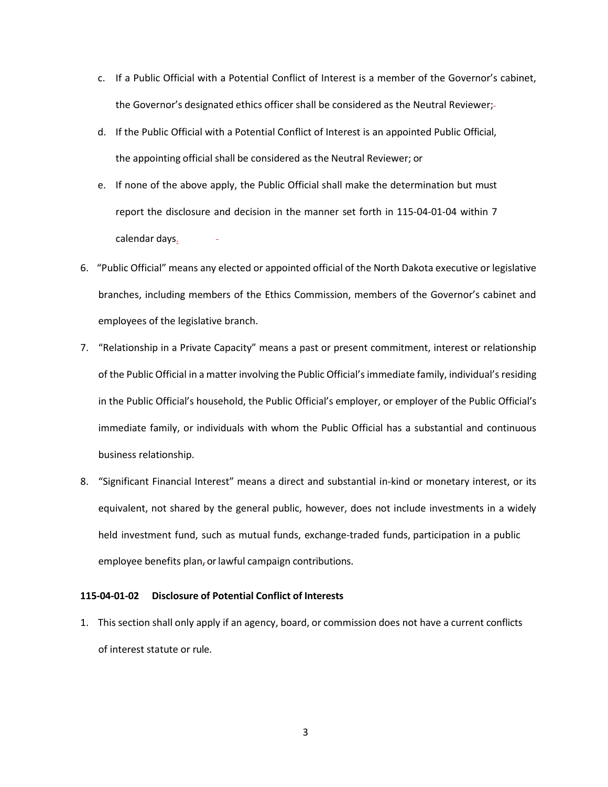- c. If a Public Official with a Potential Conflict of Interest is a member of the Governor's cabinet, the Governor's designated ethics officer shall be considered as the Neutral Reviewer;
- d. If the Public Official with a Potential Conflict of Interest is an appointed Public Official, the appointing official shall be considered as the Neutral Reviewer; or
- e. If none of the above apply, the Public Official shall make the determination but must report the disclosure and decision in the manner set forth in 115-04-01-04 within 7 calendar days.
- 6. "Public Official" means any elected or appointed official of the North Dakota executive or legislative branches, including members of the Ethics Commission, members of the Governor's cabinet and employees of the legislative branch.
- 7. "Relationship in a Private Capacity" means a past or present commitment, interest or relationship of the Public Official in a matter involving the Public Official's immediate family, individual's residing in the Public Official's household, the Public Official's employer, or employer of the Public Official's immediate family, or individuals with whom the Public Official has a substantial and continuous business relationship.
- 8. "Significant Financial Interest" means a direct and substantial in-kind or monetary interest, or its equivalent, not shared by the general public, however, does not include investments in a widely held investment fund, such as mutual funds, exchange-traded funds, participation in a public employee benefits plan, or lawful campaign contributions.

# **115-04-01-02 Disclosure of Potential Conflict of Interests**

1. This section shall only apply if an agency, board, or commission does not have a current conflicts of interest statute or rule.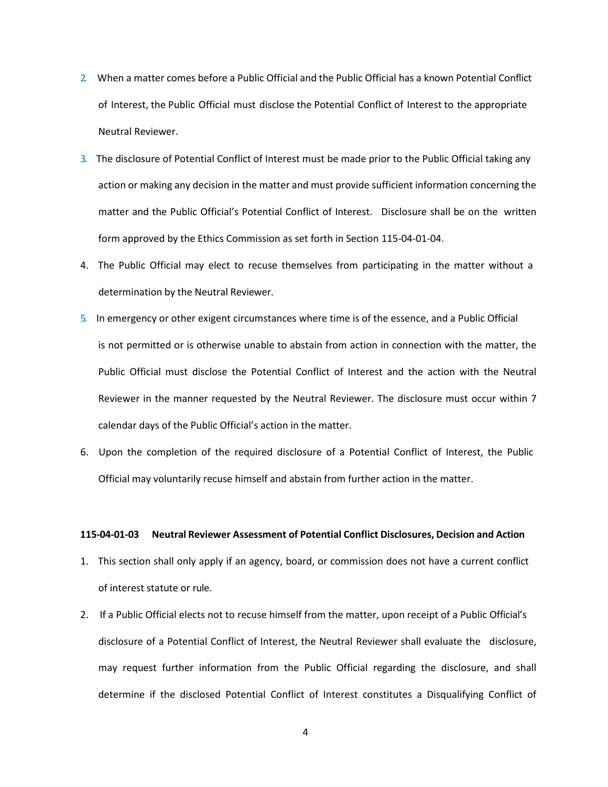- 2. When a matter comes before a Public Official and the Public Official has a known Potential Conflict of Interest, the Public Official must disclose the Potential Conflict of Interest to the appropriate Neutral Reviewer.
- 3. The disclosure of Potential Conflict of Interest must be made prior to the Public Official taking any action or making any decision in the matter and must provide sufficient information concerning the matter and the Public Official's Potential Conflict of Interest. Disclosure shall be on the written form approved by the Ethics Commission as set forth in Section 115-04-01-04.
- 4. The Public Official may elect to recuse themselves from participating in the matter without a determination by the Neutral Reviewer.
- 5. In emergency or other exigent circumstances where time is of the essence, and a Public Official is not permitted or is otherwise unable to abstain from action in connection with the matter, the Public Official must disclose the Potential Conflict of Interest and the action with the Neutral Reviewer in the manner requested by the Neutral Reviewer. The disclosure must occur within 7 calendar days of the Public Official's action in the matter.
- 6. Upon the completion of the required disclosure of a Potential Conflict of Interest, the Public Official may voluntarily recuse himself and abstain from further action in the matter.

#### **115-04-01-03 Neutral Reviewer Assessment of Potential Conflict Disclosures, Decision and Action**

- 1. This section shall only apply if an agency, board, or commission does not have a current conflict of interest statute or rule.
- 2. If a Public Official elects not to recuse himself from the matter, upon receipt of a Public Official's disclosure of a Potential Conflict of Interest, the Neutral Reviewer shall evaluate the disclosure, may request further information from the Public Official regarding the disclosure, and shall determine if the disclosed Potential Conflict of Interest constitutes a Disqualifying Conflict of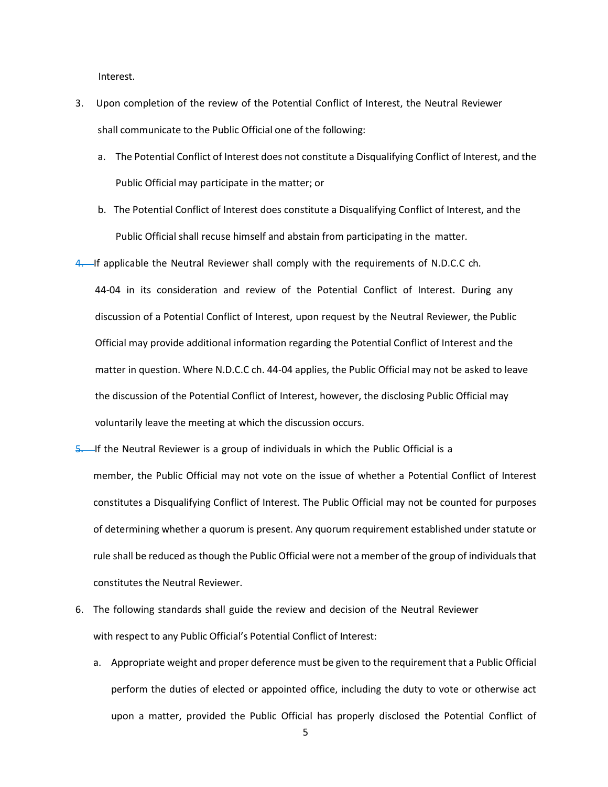Interest.

- 3. Upon completion of the review of the Potential Conflict of Interest, the Neutral Reviewer shall communicate to the Public Official one of the following:
	- a. The Potential Conflict of Interest does not constitute a Disqualifying Conflict of Interest, and the Public Official may participate in the matter; or
	- b. The Potential Conflict of Interest does constitute a Disqualifying Conflict of Interest, and the Public Official shall recuse himself and abstain from participating in the matter.

4. If applicable the Neutral Reviewer shall comply with the requirements of N.D.C.C ch.

44-04 in its consideration and review of the Potential Conflict of Interest. During any discussion of a Potential Conflict of Interest, upon request by the Neutral Reviewer, the Public Official may provide additional information regarding the Potential Conflict of Interest and the matter in question. Where N.D.C.C ch. 44-04 applies, the Public Official may not be asked to leave the discussion of the Potential Conflict of Interest, however, the disclosing Public Official may voluntarily leave the meeting at which the discussion occurs.

- 5. If the Neutral Reviewer is a group of individuals in which the Public Official is a member, the Public Official may not vote on the issue of whether a Potential Conflict of Interest constitutes a Disqualifying Conflict of Interest. The Public Official may not be counted for purposes of determining whether a quorum is present. Any quorum requirement established under statute or rule shall be reduced as though the Public Official were not a member of the group of individuals that constitutes the Neutral Reviewer.
- 6. The following standards shall guide the review and decision of the Neutral Reviewer with respect to any Public Official's Potential Conflict of Interest:
	- a. Appropriate weight and proper deference must be given to the requirement that a Public Official perform the duties of elected or appointed office, including the duty to vote or otherwise act upon a matter, provided the Public Official has properly disclosed the Potential Conflict of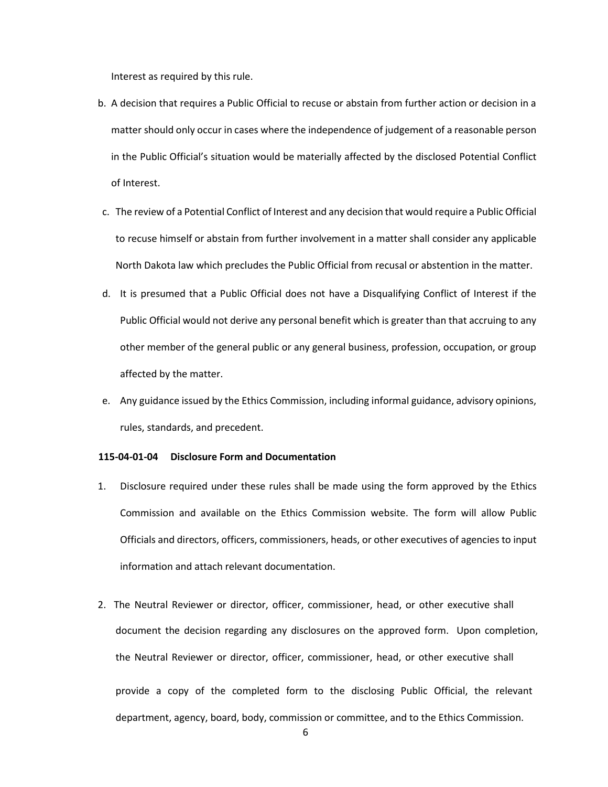Interest as required by this rule.

- b. A decision that requires a Public Official to recuse or abstain from further action or decision in a matter should only occur in cases where the independence of judgement of a reasonable person in the Public Official's situation would be materially affected by the disclosed Potential Conflict of Interest.
- c. The review of a Potential Conflict of Interest and any decision that would require a Public Official to recuse himself or abstain from further involvement in a matter shall consider any applicable North Dakota law which precludes the Public Official from recusal or abstention in the matter.
- d. It is presumed that a Public Official does not have a Disqualifying Conflict of Interest if the Public Official would not derive any personal benefit which is greater than that accruing to any other member of the general public or any general business, profession, occupation, or group affected by the matter.
- e. Any guidance issued by the Ethics Commission, including informal guidance, advisory opinions, rules, standards, and precedent.

### **115-04-01-04 Disclosure Form and Documentation**

- 1. Disclosure required under these rules shall be made using the form approved by the Ethics Commission and available on the Ethics Commission website. The form will allow Public Officials and directors, officers, commissioners, heads, or other executives of agencies to input information and attach relevant documentation.
- 2. The Neutral Reviewer or director, officer, commissioner, head, or other executive shall document the decision regarding any disclosures on the approved form. Upon completion, the Neutral Reviewer or director, officer, commissioner, head, or other executive shall provide a copy of the completed form to the disclosing Public Official, the relevant department, agency, board, body, commission or committee, and to the Ethics Commission.